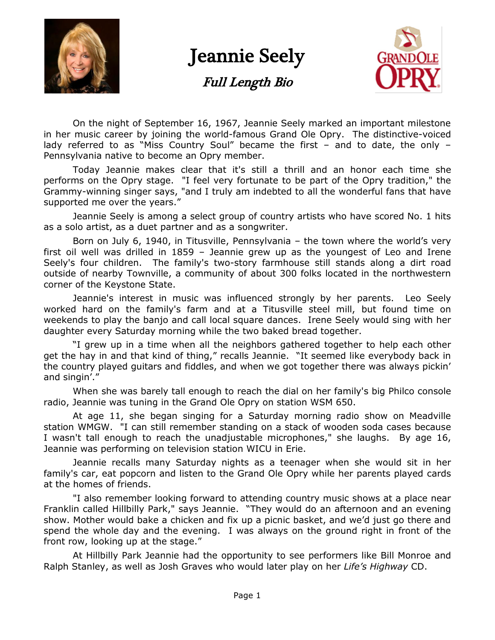

## Jeannie Seely

Full Length Bio



On the night of September 16, 1967, Jeannie Seely marked an important milestone in her music career by joining the world-famous Grand Ole Opry. The distinctive-voiced lady referred to as "Miss Country Soul" became the first  $-$  and to date, the only  $-$ Pennsylvania native to become an Opry member.

Today Jeannie makes clear that it's still a thrill and an honor each time she performs on the Opry stage. "I feel very fortunate to be part of the Opry tradition," the Grammy-winning singer says, "and I truly am indebted to all the wonderful fans that have supported me over the years."

Jeannie Seely is among a select group of country artists who have scored No. 1 hits as a solo artist, as a duet partner and as a songwriter.

Born on July 6, 1940, in Titusville, Pennsylvania – the town where the world's very first oil well was drilled in 1859 – Jeannie grew up as the youngest of Leo and Irene Seely's four children. The family's two-story farmhouse still stands along a dirt road outside of nearby Townville, a community of about 300 folks located in the northwestern corner of the Keystone State.

Jeannie's interest in music was influenced strongly by her parents. Leo Seely worked hard on the family's farm and at a Titusville steel mill, but found time on weekends to play the banjo and call local square dances. Irene Seely would sing with her daughter every Saturday morning while the two baked bread together.

"I grew up in a time when all the neighbors gathered together to help each other get the hay in and that kind of thing," recalls Jeannie. "It seemed like everybody back in the country played guitars and fiddles, and when we got together there was always pickin' and singin'."

When she was barely tall enough to reach the dial on her family's big Philco console radio, Jeannie was tuning in the Grand Ole Opry on station WSM 650.

At age 11, she began singing for a Saturday morning radio show on Meadville station WMGW. "I can still remember standing on a stack of wooden soda cases because I wasn't tall enough to reach the unadjustable microphones," she laughs. By age 16, Jeannie was performing on television station WICU in Erie.

Jeannie recalls many Saturday nights as a teenager when she would sit in her family's car, eat popcorn and listen to the Grand Ole Opry while her parents played cards at the homes of friends.

"I also remember looking forward to attending country music shows at a place near Franklin called Hillbilly Park," says Jeannie. "They would do an afternoon and an evening show. Mother would bake a chicken and fix up a picnic basket, and we'd just go there and spend the whole day and the evening. I was always on the ground right in front of the front row, looking up at the stage."

At Hillbilly Park Jeannie had the opportunity to see performers like Bill Monroe and Ralph Stanley, as well as Josh Graves who would later play on her *Life's Highway* CD.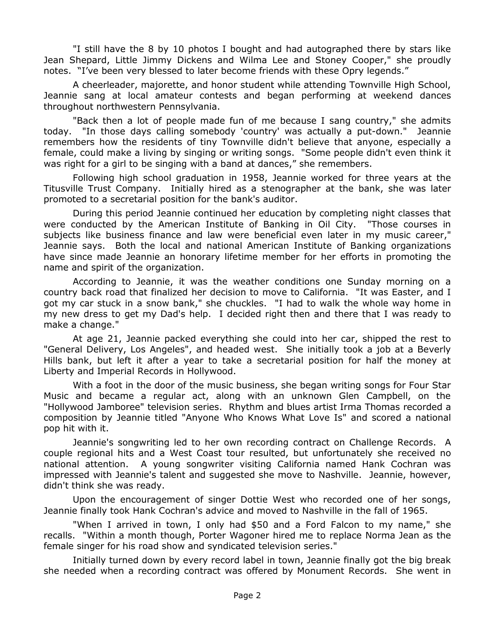"I still have the 8 by 10 photos I bought and had autographed there by stars like Jean Shepard, Little Jimmy Dickens and Wilma Lee and Stoney Cooper," she proudly notes. "I've been very blessed to later become friends with these Opry legends."

A cheerleader, majorette, and honor student while attending Townville High School, Jeannie sang at local amateur contests and began performing at weekend dances throughout northwestern Pennsylvania.

"Back then a lot of people made fun of me because I sang country," she admits today. "In those days calling somebody 'country' was actually a put-down." Jeannie remembers how the residents of tiny Townville didn't believe that anyone, especially a female, could make a living by singing or writing songs. "Some people didn't even think it was right for a girl to be singing with a band at dances," she remembers.

Following high school graduation in 1958, Jeannie worked for three years at the Titusville Trust Company. Initially hired as a stenographer at the bank, she was later promoted to a secretarial position for the bank's auditor.

During this period Jeannie continued her education by completing night classes that were conducted by the American Institute of Banking in Oil City. "Those courses in subjects like business finance and law were beneficial even later in my music career," Jeannie says. Both the local and national American Institute of Banking organizations have since made Jeannie an honorary lifetime member for her efforts in promoting the name and spirit of the organization.

According to Jeannie, it was the weather conditions one Sunday morning on a country back road that finalized her decision to move to California. "It was Easter, and I got my car stuck in a snow bank," she chuckles. "I had to walk the whole way home in my new dress to get my Dad's help. I decided right then and there that I was ready to make a change."

At age 21, Jeannie packed everything she could into her car, shipped the rest to "General Delivery, Los Angeles", and headed west. She initially took a job at a Beverly Hills bank, but left it after a year to take a secretarial position for half the money at Liberty and Imperial Records in Hollywood.

With a foot in the door of the music business, she began writing songs for Four Star Music and became a regular act, along with an unknown Glen Campbell, on the "Hollywood Jamboree" television series. Rhythm and blues artist Irma Thomas recorded a composition by Jeannie titled "Anyone Who Knows What Love Is" and scored a national pop hit with it.

Jeannie's songwriting led to her own recording contract on Challenge Records. A couple regional hits and a West Coast tour resulted, but unfortunately she received no national attention. A young songwriter visiting California named Hank Cochran was impressed with Jeannie's talent and suggested she move to Nashville. Jeannie, however, didn't think she was ready.

Upon the encouragement of singer Dottie West who recorded one of her songs, Jeannie finally took Hank Cochran's advice and moved to Nashville in the fall of 1965.

"When I arrived in town, I only had \$50 and a Ford Falcon to my name," she recalls. "Within a month though, Porter Wagoner hired me to replace Norma Jean as the female singer for his road show and syndicated television series."

Initially turned down by every record label in town, Jeannie finally got the big break she needed when a recording contract was offered by Monument Records. She went in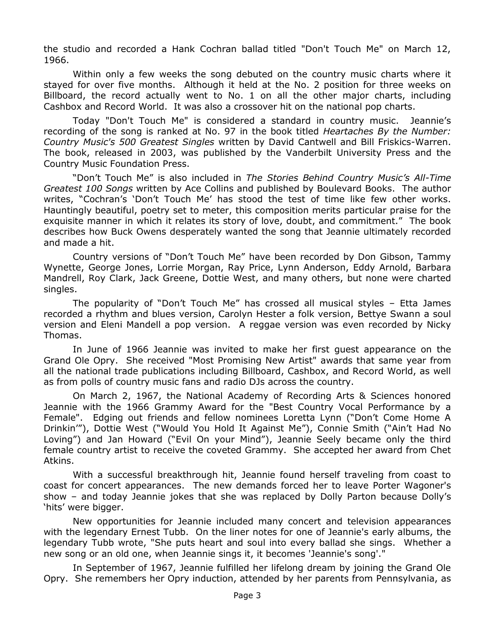the studio and recorded a Hank Cochran ballad titled "Don't Touch Me" on March 12, 1966.

Within only a few weeks the song debuted on the country music charts where it stayed for over five months. Although it held at the No. 2 position for three weeks on Billboard, the record actually went to No. 1 on all the other major charts, including Cashbox and Record World. It was also a crossover hit on the national pop charts.

Today "Don't Touch Me" is considered a standard in country music. Jeannie's recording of the song is ranked at No. 97 in the book titled *Heartaches By the Number: Country Music's 500 Greatest Singles* written by David Cantwell and Bill Friskics-Warren. The book, released in 2003, was published by the Vanderbilt University Press and the Country Music Foundation Press.

―Don't Touch Me‖ is also included in *The Stories Behind Country Music's All-Time Greatest 100 Songs* written by Ace Collins and published by Boulevard Books. The author writes, "Cochran's 'Don't Touch Me' has stood the test of time like few other works. Hauntingly beautiful, poetry set to meter, this composition merits particular praise for the exquisite manner in which it relates its story of love, doubt, and commitment.‖ The book describes how Buck Owens desperately wanted the song that Jeannie ultimately recorded and made a hit.

Country versions of "Don't Touch Me" have been recorded by Don Gibson, Tammy Wynette, George Jones, Lorrie Morgan, Ray Price, Lynn Anderson, Eddy Arnold, Barbara Mandrell, Roy Clark, Jack Greene, Dottie West, and many others, but none were charted singles.

The popularity of "Don't Touch Me" has crossed all musical styles – Etta James recorded a rhythm and blues version, Carolyn Hester a folk version, Bettye Swann a soul version and Eleni Mandell a pop version. A reggae version was even recorded by Nicky Thomas.

In June of 1966 Jeannie was invited to make her first guest appearance on the Grand Ole Opry. She received "Most Promising New Artist" awards that same year from all the national trade publications including Billboard, Cashbox, and Record World, as well as from polls of country music fans and radio DJs across the country.

On March 2, 1967, the National Academy of Recording Arts & Sciences honored Jeannie with the 1966 Grammy Award for the "Best Country Vocal Performance by a Female". Edging out friends and fellow nominees Loretta Lynn ("Don't Come Home A Drinkin'"), Dottie West ("Would You Hold It Against Me"), Connie Smith ("Ain't Had No Loving") and Jan Howard ("Evil On your Mind"), Jeannie Seely became only the third female country artist to receive the coveted Grammy. She accepted her award from Chet Atkins.

With a successful breakthrough hit, Jeannie found herself traveling from coast to coast for concert appearances. The new demands forced her to leave Porter Wagoner's show – and today Jeannie jokes that she was replaced by Dolly Parton because Dolly's 'hits' were bigger.

New opportunities for Jeannie included many concert and television appearances with the legendary Ernest Tubb. On the liner notes for one of Jeannie's early albums, the legendary Tubb wrote, "She puts heart and soul into every ballad she sings. Whether a new song or an old one, when Jeannie sings it, it becomes 'Jeannie's song'."

In September of 1967, Jeannie fulfilled her lifelong dream by joining the Grand Ole Opry. She remembers her Opry induction, attended by her parents from Pennsylvania, as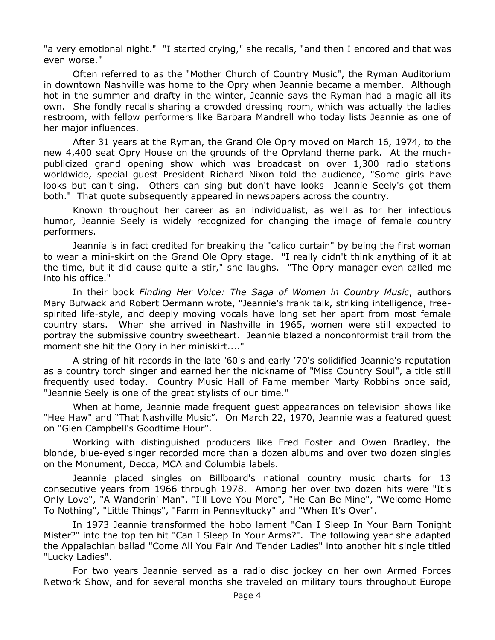"a very emotional night." "I started crying," she recalls, "and then I encored and that was even worse."

Often referred to as the "Mother Church of Country Music", the Ryman Auditorium in downtown Nashville was home to the Opry when Jeannie became a member. Although hot in the summer and drafty in the winter, Jeannie says the Ryman had a magic all its own. She fondly recalls sharing a crowded dressing room, which was actually the ladies restroom, with fellow performers like Barbara Mandrell who today lists Jeannie as one of her major influences.

After 31 years at the Ryman, the Grand Ole Opry moved on March 16, 1974, to the new 4,400 seat Opry House on the grounds of the Opryland theme park. At the muchpublicized grand opening show which was broadcast on over 1,300 radio stations worldwide, special guest President Richard Nixon told the audience, "Some girls have looks but can't sing. Others can sing but don't have looks Jeannie Seely's got them both." That quote subsequently appeared in newspapers across the country.

Known throughout her career as an individualist, as well as for her infectious humor, Jeannie Seely is widely recognized for changing the image of female country performers.

Jeannie is in fact credited for breaking the "calico curtain" by being the first woman to wear a mini-skirt on the Grand Ole Opry stage. "I really didn't think anything of it at the time, but it did cause quite a stir," she laughs. "The Opry manager even called me into his office."

In their book *Finding Her Voice: The Saga of Women in Country Music*, authors Mary Bufwack and Robert Oermann wrote, "Jeannie's frank talk, striking intelligence, freespirited life-style, and deeply moving vocals have long set her apart from most female country stars. When she arrived in Nashville in 1965, women were still expected to portray the submissive country sweetheart. Jeannie blazed a nonconformist trail from the moment she hit the Opry in her miniskirt...."

A string of hit records in the late '60's and early '70's solidified Jeannie's reputation as a country torch singer and earned her the nickname of "Miss Country Soul", a title still frequently used today. Country Music Hall of Fame member Marty Robbins once said, "Jeannie Seely is one of the great stylists of our time."

When at home, Jeannie made frequent guest appearances on television shows like "Hee Haw" and "That Nashville Music". On March 22, 1970, Jeannie was a featured guest on "Glen Campbell's Goodtime Hour".

Working with distinguished producers like Fred Foster and Owen Bradley, the blonde, blue-eyed singer recorded more than a dozen albums and over two dozen singles on the Monument, Decca, MCA and Columbia labels.

Jeannie placed singles on Billboard's national country music charts for 13 consecutive years from 1966 through 1978. Among her over two dozen hits were "It's Only Love", "A Wanderin' Man", "I'll Love You More", "He Can Be Mine", "Welcome Home To Nothing", "Little Things", "Farm in Pennsyltucky" and "When It's Over".

In 1973 Jeannie transformed the hobo lament "Can I Sleep In Your Barn Tonight Mister?" into the top ten hit "Can I Sleep In Your Arms?". The following year she adapted the Appalachian ballad "Come All You Fair And Tender Ladies" into another hit single titled "Lucky Ladies".

For two years Jeannie served as a radio disc jockey on her own Armed Forces Network Show, and for several months she traveled on military tours throughout Europe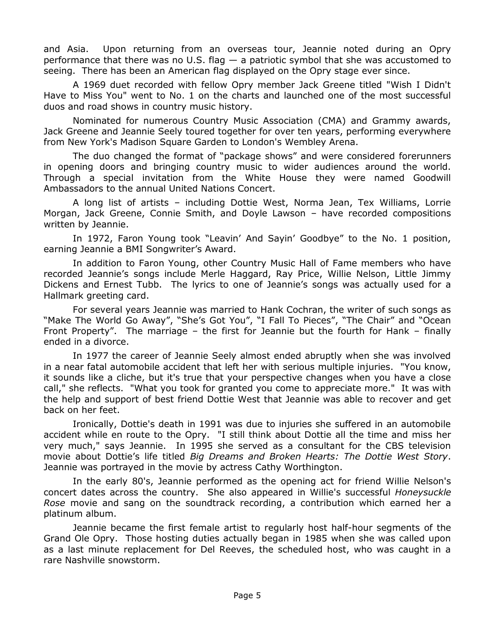and Asia. Upon returning from an overseas tour, Jeannie noted during an Opry performance that there was no U.S. flag  $-$  a patriotic symbol that she was accustomed to seeing. There has been an American flag displayed on the Opry stage ever since.

A 1969 duet recorded with fellow Opry member Jack Greene titled "Wish I Didn't Have to Miss You" went to No. 1 on the charts and launched one of the most successful duos and road shows in country music history.

Nominated for numerous Country Music Association (CMA) and Grammy awards, Jack Greene and Jeannie Seely toured together for over ten years, performing everywhere from New York's Madison Square Garden to London's Wembley Arena.

The duo changed the format of "package shows" and were considered forerunners in opening doors and bringing country music to wider audiences around the world. Through a special invitation from the White House they were named Goodwill Ambassadors to the annual United Nations Concert.

A long list of artists – including Dottie West, Norma Jean, Tex Williams, Lorrie Morgan, Jack Greene, Connie Smith, and Doyle Lawson – have recorded compositions written by Jeannie.

In 1972, Faron Young took "Leavin' And Sayin' Goodbye" to the No. 1 position, earning Jeannie a BMI Songwriter's Award.

In addition to Faron Young, other Country Music Hall of Fame members who have recorded Jeannie's songs include Merle Haggard, Ray Price, Willie Nelson, Little Jimmy Dickens and Ernest Tubb. The lyrics to one of Jeannie's songs was actually used for a Hallmark greeting card.

For several years Jeannie was married to Hank Cochran, the writer of such songs as "Make The World Go Away", "She's Got You", "I Fall To Pieces", "The Chair" and "Ocean Front Property". The marriage – the first for Jeannie but the fourth for Hank – finally ended in a divorce.

In 1977 the career of Jeannie Seely almost ended abruptly when she was involved in a near fatal automobile accident that left her with serious multiple injuries. "You know, it sounds like a cliche, but it's true that your perspective changes when you have a close call," she reflects. "What you took for granted you come to appreciate more." It was with the help and support of best friend Dottie West that Jeannie was able to recover and get back on her feet.

Ironically, Dottie's death in 1991 was due to injuries she suffered in an automobile accident while en route to the Opry. "I still think about Dottie all the time and miss her very much," says Jeannie. In 1995 she served as a consultant for the CBS television movie about Dottie's life titled *Big Dreams and Broken Hearts: The Dottie West Story*. Jeannie was portrayed in the movie by actress Cathy Worthington.

In the early 80's, Jeannie performed as the opening act for friend Willie Nelson's concert dates across the country. She also appeared in Willie's successful *Honeysuckle Rose* movie and sang on the soundtrack recording, a contribution which earned her a platinum album.

Jeannie became the first female artist to regularly host half-hour segments of the Grand Ole Opry. Those hosting duties actually began in 1985 when she was called upon as a last minute replacement for Del Reeves, the scheduled host, who was caught in a rare Nashville snowstorm.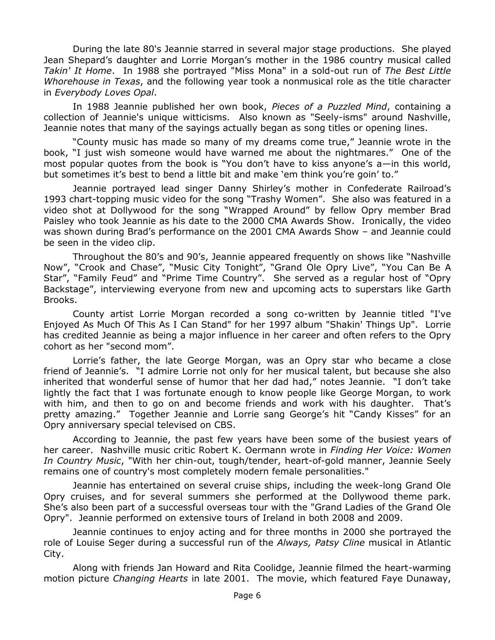During the late 80's Jeannie starred in several major stage productions. She played Jean Shepard's daughter and Lorrie Morgan's mother in the 1986 country musical called *Takin' It Home*. In 1988 she portrayed "Miss Mona" in a sold-out run of *The Best Little Whorehouse in Texas*, and the following year took a nonmusical role as the title character in *Everybody Loves Opal*.

In 1988 Jeannie published her own book, *Pieces of a Puzzled Mind*, containing a collection of Jeannie's unique witticisms. Also known as "Seely-isms" around Nashville, Jeannie notes that many of the sayings actually began as song titles or opening lines.

"County music has made so many of my dreams come true," Jeannie wrote in the book, "I just wish someone would have warned me about the nightmares." One of the most popular quotes from the book is "You don't have to kiss anyone's a—in this world, but sometimes it's best to bend a little bit and make 'em think you're goin' to."

Jeannie portrayed lead singer Danny Shirley's mother in Confederate Railroad's 1993 chart-topping music video for the song "Trashy Women". She also was featured in a video shot at Dollywood for the song "Wrapped Around" by fellow Opry member Brad Paisley who took Jeannie as his date to the 2000 CMA Awards Show. Ironically, the video was shown during Brad's performance on the 2001 CMA Awards Show – and Jeannie could be seen in the video clip.

Throughout the 80's and 90's, Jeannie appeared frequently on shows like "Nashville Now", "Crook and Chase", "Music City Tonight", "Grand Ole Opry Live", "You Can Be A Star", "Family Feud" and "Prime Time Country". She served as a regular host of "Opry Backstage", interviewing everyone from new and upcoming acts to superstars like Garth Brooks.

County artist Lorrie Morgan recorded a song co-written by Jeannie titled "I've Enjoyed As Much Of This As I Can Stand" for her 1997 album "Shakin' Things Up". Lorrie has credited Jeannie as being a major influence in her career and often refers to the Opry cohort as her "second mom".

Lorrie's father, the late George Morgan, was an Opry star who became a close friend of Jeannie's. "I admire Lorrie not only for her musical talent, but because she also inherited that wonderful sense of humor that her dad had," notes Jeannie. "I don't take lightly the fact that I was fortunate enough to know people like George Morgan, to work with him, and then to go on and become friends and work with his daughter. That's pretty amazing." Together Jeannie and Lorrie sang George's hit "Candy Kisses" for an Opry anniversary special televised on CBS.

According to Jeannie, the past few years have been some of the busiest years of her career. Nashville music critic Robert K. Oermann wrote in *Finding Her Voice: Women In Country Music*, "With her chin-out, tough/tender, heart-of-gold manner, Jeannie Seely remains one of country's most completely modern female personalities."

Jeannie has entertained on several cruise ships, including the week-long Grand Ole Opry cruises, and for several summers she performed at the Dollywood theme park. She's also been part of a successful overseas tour with the "Grand Ladies of the Grand Ole Opry". Jeannie performed on extensive tours of Ireland in both 2008 and 2009.

Jeannie continues to enjoy acting and for three months in 2000 she portrayed the role of Louise Seger during a successful run of the *Always, Patsy Cline* musical in Atlantic City.

Along with friends Jan Howard and Rita Coolidge, Jeannie filmed the heart-warming motion picture *Changing Hearts* in late 2001. The movie, which featured Faye Dunaway,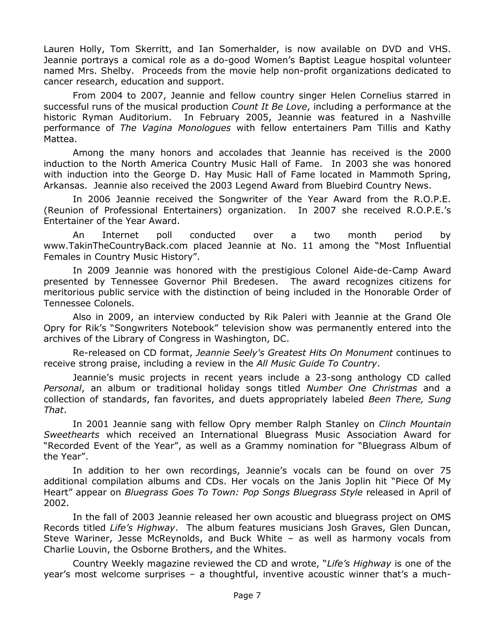Lauren Holly, Tom Skerritt, and Ian Somerhalder, is now available on DVD and VHS. Jeannie portrays a comical role as a do-good Women's Baptist League hospital volunteer named Mrs. Shelby. Proceeds from the movie help non-profit organizations dedicated to cancer research, education and support.

From 2004 to 2007, Jeannie and fellow country singer Helen Cornelius starred in successful runs of the musical production *Count It Be Love*, including a performance at the historic Ryman Auditorium. In February 2005, Jeannie was featured in a Nashville performance of *The Vagina Monologues* with fellow entertainers Pam Tillis and Kathy Mattea.

Among the many honors and accolades that Jeannie has received is the 2000 induction to the North America Country Music Hall of Fame. In 2003 she was honored with induction into the George D. Hay Music Hall of Fame located in Mammoth Spring, Arkansas. Jeannie also received the 2003 Legend Award from Bluebird Country News.

In 2006 Jeannie received the Songwriter of the Year Award from the R.O.P.E. (Reunion of Professional Entertainers) organization. In 2007 she received R.O.P.E.'s Entertainer of the Year Award.

An Internet poll conducted over a two month period by www.TakinTheCountryBack.com placed Jeannie at No. 11 among the "Most Influential Females in Country Music History".

In 2009 Jeannie was honored with the prestigious Colonel Aide-de-Camp Award presented by Tennessee Governor Phil Bredesen. The award recognizes citizens for meritorious public service with the distinction of being included in the Honorable Order of Tennessee Colonels.

Also in 2009, an interview conducted by Rik Paleri with Jeannie at the Grand Ole Opry for Rik's "Songwriters Notebook" television show was permanently entered into the archives of the Library of Congress in Washington, DC.

Re-released on CD format, *Jeannie Seely's Greatest Hits On Monument* continues to receive strong praise, including a review in the *All Music Guide To Country*.

Jeannie's music projects in recent years include a 23-song anthology CD called *Personal*, an album or traditional holiday songs titled *Number One Christmas* and a collection of standards, fan favorites, and duets appropriately labeled *Been There, Sung That*.

In 2001 Jeannie sang with fellow Opry member Ralph Stanley on *Clinch Mountain Sweethearts* which received an International Bluegrass Music Association Award for "Recorded Event of the Year", as well as a Grammy nomination for "Bluegrass Album of the Year".

In addition to her own recordings, Jeannie's vocals can be found on over 75 additional compilation albums and CDs. Her vocals on the Janis Joplin hit "Piece Of My Heart‖ appear on *Bluegrass Goes To Town: Pop Songs Bluegrass Style* released in April of 2002.

In the fall of 2003 Jeannie released her own acoustic and bluegrass project on OMS Records titled *Life's Highway*. The album features musicians Josh Graves, Glen Duncan, Steve Wariner, Jesse McReynolds, and Buck White – as well as harmony vocals from Charlie Louvin, the Osborne Brothers, and the Whites.

Country Weekly magazine reviewed the CD and wrote, "Life's Highway is one of the year's most welcome surprises – a thoughtful, inventive acoustic winner that's a much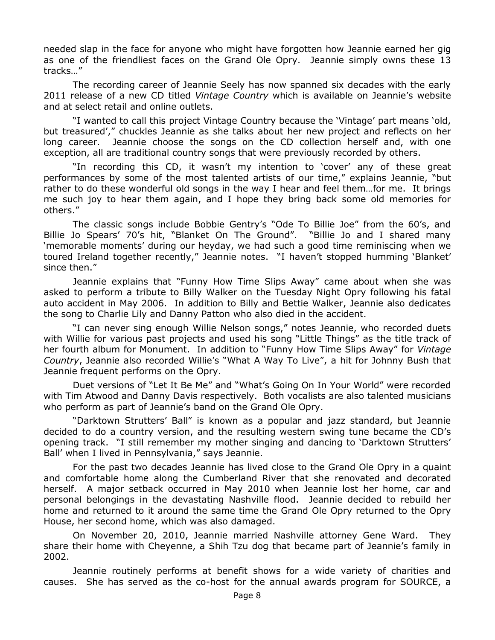needed slap in the face for anyone who might have forgotten how Jeannie earned her gig as one of the friendliest faces on the Grand Ole Opry. Jeannie simply owns these 13 tracks…‖

The recording career of Jeannie Seely has now spanned six decades with the early 2011 release of a new CD titled *Vintage Country* which is available on Jeannie's website and at select retail and online outlets.

"I wanted to call this project Vintage Country because the 'Vintage' part means 'old, but treasured'," chuckles Jeannie as she talks about her new project and reflects on her long career. Jeannie choose the songs on the CD collection herself and, with one exception, all are traditional country songs that were previously recorded by others.

"In recording this CD, it wasn't my intention to 'cover' any of these great performances by some of the most talented artists of our time," explains Jeannie, "but rather to do these wonderful old songs in the way I hear and feel them…for me. It brings me such joy to hear them again, and I hope they bring back some old memories for others."

The classic songs include Bobbie Gentry's "Ode To Billie Joe" from the 60's, and Billie Jo Spears' 70's hit, "Blanket On The Ground". "Billie Jo and I shared many ‗memorable moments' during our heyday, we had such a good time reminiscing when we toured Ireland together recently," Jeannie notes. "I haven't stopped humming 'Blanket' since then."

Jeannie explains that "Funny How Time Slips Away" came about when she was asked to perform a tribute to Billy Walker on the Tuesday Night Opry following his fatal auto accident in May 2006. In addition to Billy and Bettie Walker, Jeannie also dedicates the song to Charlie Lily and Danny Patton who also died in the accident.

"I can never sing enough Willie Nelson songs," notes Jeannie, who recorded duets with Willie for various past projects and used his song "Little Things" as the title track of her fourth album for Monument. In addition to "Funny How Time Slips Away" for Vintage *Country*, Jeannie also recorded Willie's "What A Way To Live", a hit for Johnny Bush that Jeannie frequent performs on the Opry.

Duet versions of "Let It Be Me" and "What's Going On In Your World" were recorded with Tim Atwood and Danny Davis respectively. Both vocalists are also talented musicians who perform as part of Jeannie's band on the Grand Ole Opry.

―Darktown Strutters' Ball‖ is known as a popular and jazz standard, but Jeannie decided to do a country version, and the resulting western swing tune became the CD's opening track. "I still remember my mother singing and dancing to 'Darktown Strutters' Ball' when I lived in Pennsylvania," says Jeannie.

For the past two decades Jeannie has lived close to the Grand Ole Opry in a quaint and comfortable home along the Cumberland River that she renovated and decorated herself. A major setback occurred in May 2010 when Jeannie lost her home, car and personal belongings in the devastating Nashville flood. Jeannie decided to rebuild her home and returned to it around the same time the Grand Ole Opry returned to the Opry House, her second home, which was also damaged.

On November 20, 2010, Jeannie married Nashville attorney Gene Ward. They share their home with Cheyenne, a Shih Tzu dog that became part of Jeannie's family in 2002.

Jeannie routinely performs at benefit shows for a wide variety of charities and causes. She has served as the co-host for the annual awards program for SOURCE, a